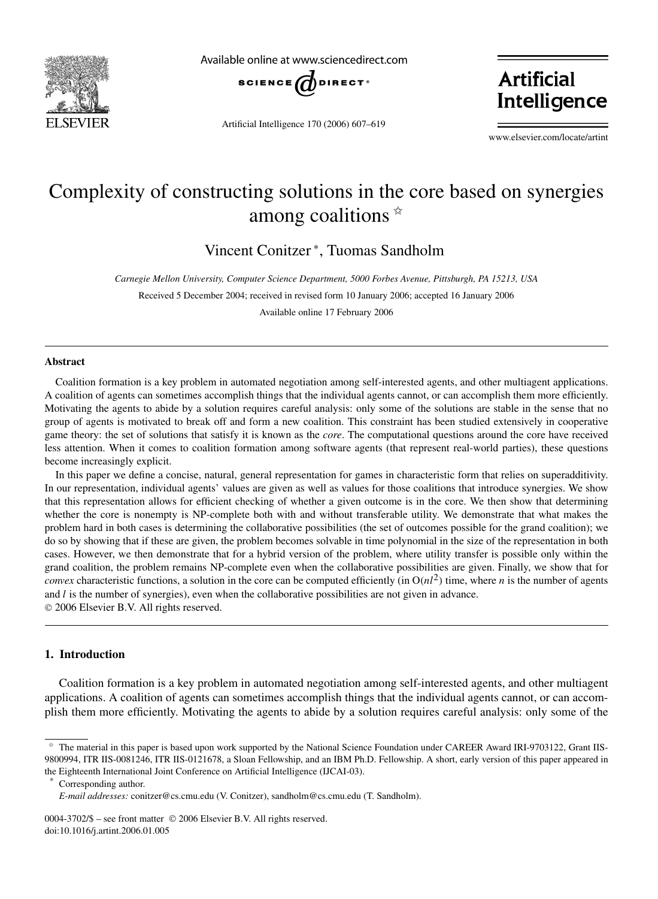

Available online at www.sciencedirect.com



Artificial Intelligence 170 (2006) 607–619

**Artificial** Intelligence

www.elsevier.com/locate/artint

# Complexity of constructing solutions in the core based on synergies among coalitions  $\hat{z}$

Vincent Conitzer <sup>∗</sup> , Tuomas Sandholm

*Carnegie Mellon University, Computer Science Department, 5000 Forbes Avenue, Pittsburgh, PA 15213, USA*

Received 5 December 2004; received in revised form 10 January 2006; accepted 16 January 2006

Available online 17 February 2006

## **Abstract**

Coalition formation is a key problem in automated negotiation among self-interested agents, and other multiagent applications. A coalition of agents can sometimes accomplish things that the individual agents cannot, or can accomplish them more efficiently. Motivating the agents to abide by a solution requires careful analysis: only some of the solutions are stable in the sense that no group of agents is motivated to break off and form a new coalition. This constraint has been studied extensively in cooperative game theory: the set of solutions that satisfy it is known as the *core*. The computational questions around the core have received less attention. When it comes to coalition formation among software agents (that represent real-world parties), these questions become increasingly explicit.

In this paper we define a concise, natural, general representation for games in characteristic form that relies on superadditivity. In our representation, individual agents' values are given as well as values for those coalitions that introduce synergies. We show that this representation allows for efficient checking of whether a given outcome is in the core. We then show that determining whether the core is nonempty is NP-complete both with and without transferable utility. We demonstrate that what makes the problem hard in both cases is determining the collaborative possibilities (the set of outcomes possible for the grand coalition); we do so by showing that if these are given, the problem becomes solvable in time polynomial in the size of the representation in both cases. However, we then demonstrate that for a hybrid version of the problem, where utility transfer is possible only within the grand coalition, the problem remains NP-complete even when the collaborative possibilities are given. Finally, we show that for *convex* characteristic functions, a solution in the core can be computed efficiently (in  $O(nl^2)$  time, where *n* is the number of agents and *l* is the number of synergies), even when the collaborative possibilities are not given in advance. 2006 Elsevier B.V. All rights reserved.

# **1. Introduction**

Coalition formation is a key problem in automated negotiation among self-interested agents, and other multiagent applications. A coalition of agents can sometimes accomplish things that the individual agents cannot, or can accomplish them more efficiently. Motivating the agents to abide by a solution requires careful analysis: only some of the

Corresponding author.

 $*$  The material in this paper is based upon work supported by the National Science Foundation under CAREER Award IRI-9703122, Grant IIS-9800994, ITR IIS-0081246, ITR IIS-0121678, a Sloan Fellowship, and an IBM Ph.D. Fellowship. A short, early version of this paper appeared in the Eighteenth International Joint Conference on Artificial Intelligence (IJCAI-03).

*E-mail addresses:* conitzer@cs.cmu.edu (V. Conitzer), sandholm@cs.cmu.edu (T. Sandholm).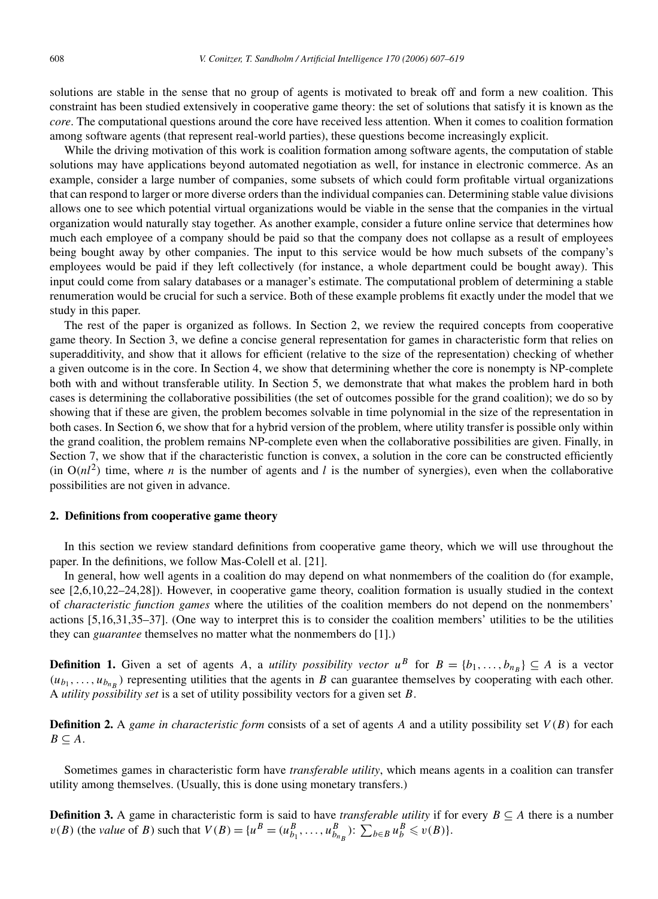solutions are stable in the sense that no group of agents is motivated to break off and form a new coalition. This constraint has been studied extensively in cooperative game theory: the set of solutions that satisfy it is known as the *core*. The computational questions around the core have received less attention. When it comes to coalition formation among software agents (that represent real-world parties), these questions become increasingly explicit.

While the driving motivation of this work is coalition formation among software agents, the computation of stable solutions may have applications beyond automated negotiation as well, for instance in electronic commerce. As an example, consider a large number of companies, some subsets of which could form profitable virtual organizations that can respond to larger or more diverse orders than the individual companies can. Determining stable value divisions allows one to see which potential virtual organizations would be viable in the sense that the companies in the virtual organization would naturally stay together. As another example, consider a future online service that determines how much each employee of a company should be paid so that the company does not collapse as a result of employees being bought away by other companies. The input to this service would be how much subsets of the company's employees would be paid if they left collectively (for instance, a whole department could be bought away). This input could come from salary databases or a manager's estimate. The computational problem of determining a stable renumeration would be crucial for such a service. Both of these example problems fit exactly under the model that we study in this paper.

The rest of the paper is organized as follows. In Section 2, we review the required concepts from cooperative game theory. In Section 3, we define a concise general representation for games in characteristic form that relies on superadditivity, and show that it allows for efficient (relative to the size of the representation) checking of whether a given outcome is in the core. In Section 4, we show that determining whether the core is nonempty is NP-complete both with and without transferable utility. In Section 5, we demonstrate that what makes the problem hard in both cases is determining the collaborative possibilities (the set of outcomes possible for the grand coalition); we do so by showing that if these are given, the problem becomes solvable in time polynomial in the size of the representation in both cases. In Section 6, we show that for a hybrid version of the problem, where utility transfer is possible only within the grand coalition, the problem remains NP-complete even when the collaborative possibilities are given. Finally, in Section 7, we show that if the characteristic function is convex, a solution in the core can be constructed efficiently (in  $O(nl^2)$  time, where *n* is the number of agents and *l* is the number of synergies), even when the collaborative possibilities are not given in advance.

## **2. Definitions from cooperative game theory**

In this section we review standard definitions from cooperative game theory, which we will use throughout the paper. In the definitions, we follow Mas-Colell et al. [21].

In general, how well agents in a coalition do may depend on what nonmembers of the coalition do (for example, see [2,6,10,22–24,28]). However, in cooperative game theory, coalition formation is usually studied in the context of *characteristic function games* where the utilities of the coalition members do not depend on the nonmembers' actions [5,16,31,35–37]. (One way to interpret this is to consider the coalition members' utilities to be the utilities they can *guarantee* themselves no matter what the nonmembers do [1].)

**Definition 1.** Given a set of agents *A*, a *utility possibility vector*  $u^B$  for  $B = \{b_1, \ldots, b_{n_B}\} \subseteq A$  is a vector  $(u_{b_1},...,u_{b_{n_R}})$  representing utilities that the agents in *B* can guarantee themselves by cooperating with each other. A *utility possibility set* is a set of utility possibility vectors for a given set *B*.

**Definition 2.** A *game in characteristic form* consists of a set of agents *A* and a utility possibility set *V (B)* for each  $B \subseteq A$ .

Sometimes games in characteristic form have *transferable utility*, which means agents in a coalition can transfer utility among themselves. (Usually, this is done using monetary transfers.)

**Definition 3.** A game in characteristic form is said to have *transferable utility* if for every  $B \subseteq A$  there is a number  $v(B)$  (the *value* of *B*) such that  $V(B) = \{u^B = (u_{b_1}^B, \dots, u_{b_{n_B}}^B) : \sum_{b \in B} u_b^B \leq v(B)\}.$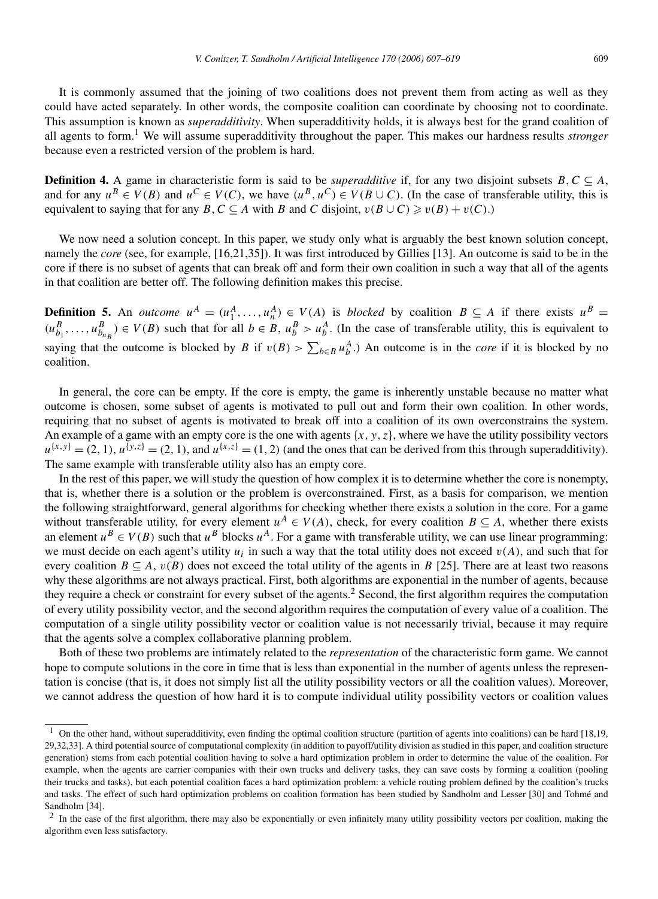It is commonly assumed that the joining of two coalitions does not prevent them from acting as well as they could have acted separately. In other words, the composite coalition can coordinate by choosing not to coordinate. This assumption is known as *superadditivity*. When superadditivity holds, it is always best for the grand coalition of all agents to form.<sup>1</sup> We will assume superadditivity throughout the paper. This makes our hardness results *stronger* because even a restricted version of the problem is hard.

**Definition 4.** A game in characteristic form is said to be *superadditive* if, for any two disjoint subsets  $B, C \subseteq A$ , and for any  $u^B \in V(B)$  and  $u^C \in V(C)$ , we have  $(u^B, u^C) \in V(B \cup C)$ . (In the case of transferable utility, this is equivalent to saying that for any *B*,  $C \subseteq A$  with *B* and *C* disjoint,  $v(B \cup C) \geq v(B) + v(C)$ .

We now need a solution concept. In this paper, we study only what is arguably the best known solution concept, namely the *core* (see, for example, [16,21,35]). It was first introduced by Gillies [13]. An outcome is said to be in the core if there is no subset of agents that can break off and form their own coalition in such a way that all of the agents in that coalition are better off. The following definition makes this precise.

**Definition 5.** An *outcome*  $u^A = (u_1^A, \dots, u_n^A) \in V(A)$  is *blocked* by coalition  $B \subseteq A$  if there exists  $u^B =$  $(u_{b_1}^B, \ldots, u_{b_{n_B}}^B) \in V(B)$  such that for all  $b \in B$ ,  $u_b^B > u_b^A$ . (In the case of transferable utility, this is equivalent to saying that the outcome is blocked by *B* if  $v(B) > \sum_{b \in B} u_b^A$ .) An outcome is in the *core* if it is blocked by no coalition.

In general, the core can be empty. If the core is empty, the game is inherently unstable because no matter what outcome is chosen, some subset of agents is motivated to pull out and form their own coalition. In other words, requiring that no subset of agents is motivated to break off into a coalition of its own overconstrains the system. An example of a game with an empty core is the one with agents  $\{x, y, z\}$ , where we have the utility possibility vectors  $u^{(x,y)} = (2, 1), u^{(y,z)} = (2, 1),$  and  $u^{(x,z)} = (1, 2)$  (and the ones that can be derived from this through superadditivity). The same example with transferable utility also has an empty core.

In the rest of this paper, we will study the question of how complex it is to determine whether the core is nonempty, that is, whether there is a solution or the problem is overconstrained. First, as a basis for comparison, we mention the following straightforward, general algorithms for checking whether there exists a solution in the core. For a game without transferable utility, for every element  $u^A \in V(A)$ , check, for every coalition  $B \subseteq A$ , whether there exists an element  $u^B \in V(B)$  such that  $u^B$  blocks  $u^A$ . For a game with transferable utility, we can use linear programming: we must decide on each agent's utility  $u_i$  in such a way that the total utility does not exceed  $v(A)$ , and such that for every coalition  $B \subseteq A$ ,  $v(B)$  does not exceed the total utility of the agents in *B* [25]. There are at least two reasons why these algorithms are not always practical. First, both algorithms are exponential in the number of agents, because they require a check or constraint for every subset of the agents.<sup>2</sup> Second, the first algorithm requires the computation of every utility possibility vector, and the second algorithm requires the computation of every value of a coalition. The computation of a single utility possibility vector or coalition value is not necessarily trivial, because it may require that the agents solve a complex collaborative planning problem.

Both of these two problems are intimately related to the *representation* of the characteristic form game. We cannot hope to compute solutions in the core in time that is less than exponential in the number of agents unless the representation is concise (that is, it does not simply list all the utility possibility vectors or all the coalition values). Moreover, we cannot address the question of how hard it is to compute individual utility possibility vectors or coalition values

 $1$  On the other hand, without superadditivity, even finding the optimal coalition structure (partition of agents into coalitions) can be hard [18,19, 29,32,33]. A third potential source of computational complexity (in addition to payoff/utility division as studied in this paper, and coalition structure generation) stems from each potential coalition having to solve a hard optimization problem in order to determine the value of the coalition. For example, when the agents are carrier companies with their own trucks and delivery tasks, they can save costs by forming a coalition (pooling their trucks and tasks), but each potential coalition faces a hard optimization problem: a vehicle routing problem defined by the coalition's trucks and tasks. The effect of such hard optimization problems on coalition formation has been studied by Sandholm and Lesser [30] and Tohmé and Sandholm [34].

<sup>&</sup>lt;sup>2</sup> In the case of the first algorithm, there may also be exponentially or even infinitely many utility possibility vectors per coalition, making the algorithm even less satisfactory.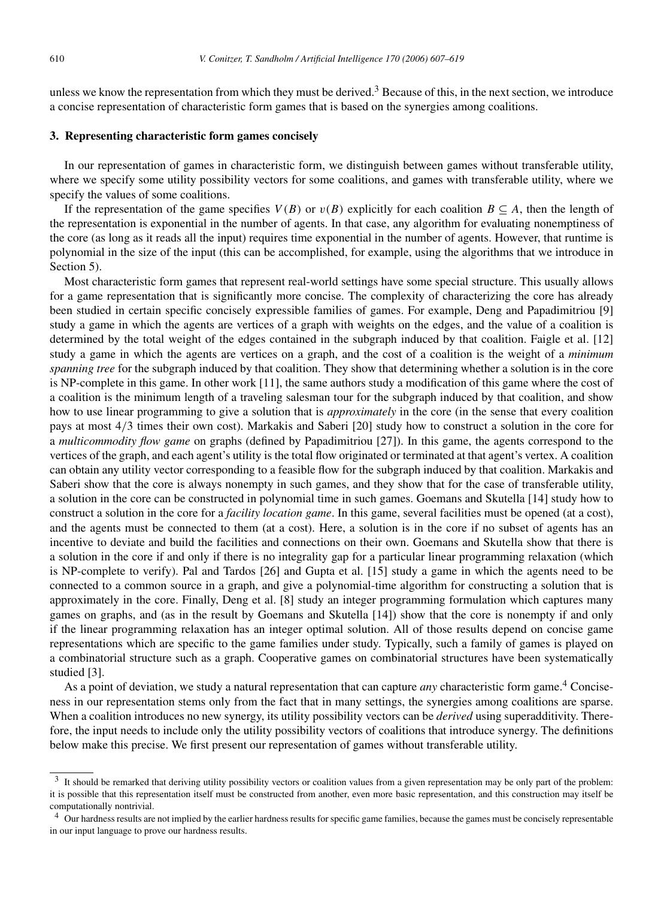unless we know the representation from which they must be derived.<sup>3</sup> Because of this, in the next section, we introduce a concise representation of characteristic form games that is based on the synergies among coalitions.

## **3. Representing characteristic form games concisely**

In our representation of games in characteristic form, we distinguish between games without transferable utility, where we specify some utility possibility vectors for some coalitions, and games with transferable utility, where we specify the values of some coalitions.

If the representation of the game specifies  $V(B)$  or  $v(B)$  explicitly for each coalition  $B \subseteq A$ , then the length of the representation is exponential in the number of agents. In that case, any algorithm for evaluating nonemptiness of the core (as long as it reads all the input) requires time exponential in the number of agents. However, that runtime is polynomial in the size of the input (this can be accomplished, for example, using the algorithms that we introduce in Section 5).

Most characteristic form games that represent real-world settings have some special structure. This usually allows for a game representation that is significantly more concise. The complexity of characterizing the core has already been studied in certain specific concisely expressible families of games. For example, Deng and Papadimitriou [9] study a game in which the agents are vertices of a graph with weights on the edges, and the value of a coalition is determined by the total weight of the edges contained in the subgraph induced by that coalition. Faigle et al. [12] study a game in which the agents are vertices on a graph, and the cost of a coalition is the weight of a *minimum spanning tree* for the subgraph induced by that coalition. They show that determining whether a solution is in the core is NP-complete in this game. In other work [11], the same authors study a modification of this game where the cost of a coalition is the minimum length of a traveling salesman tour for the subgraph induced by that coalition, and show how to use linear programming to give a solution that is *approximately* in the core (in the sense that every coalition pays at most 4*/*3 times their own cost). Markakis and Saberi [20] study how to construct a solution in the core for a *multicommodity flow game* on graphs (defined by Papadimitriou [27]). In this game, the agents correspond to the vertices of the graph, and each agent's utility is the total flow originated or terminated at that agent's vertex. A coalition can obtain any utility vector corresponding to a feasible flow for the subgraph induced by that coalition. Markakis and Saberi show that the core is always nonempty in such games, and they show that for the case of transferable utility, a solution in the core can be constructed in polynomial time in such games. Goemans and Skutella [14] study how to construct a solution in the core for a *facility location game*. In this game, several facilities must be opened (at a cost), and the agents must be connected to them (at a cost). Here, a solution is in the core if no subset of agents has an incentive to deviate and build the facilities and connections on their own. Goemans and Skutella show that there is a solution in the core if and only if there is no integrality gap for a particular linear programming relaxation (which is NP-complete to verify). Pal and Tardos [26] and Gupta et al. [15] study a game in which the agents need to be connected to a common source in a graph, and give a polynomial-time algorithm for constructing a solution that is approximately in the core. Finally, Deng et al. [8] study an integer programming formulation which captures many games on graphs, and (as in the result by Goemans and Skutella [14]) show that the core is nonempty if and only if the linear programming relaxation has an integer optimal solution. All of those results depend on concise game representations which are specific to the game families under study. Typically, such a family of games is played on a combinatorial structure such as a graph. Cooperative games on combinatorial structures have been systematically studied [3].

As a point of deviation, we study a natural representation that can capture *any* characteristic form game.4 Conciseness in our representation stems only from the fact that in many settings, the synergies among coalitions are sparse. When a coalition introduces no new synergy, its utility possibility vectors can be *derived* using superadditivity. Therefore, the input needs to include only the utility possibility vectors of coalitions that introduce synergy. The definitions below make this precise. We first present our representation of games without transferable utility.

 $3\,$  It should be remarked that deriving utility possibility vectors or coalition values from a given representation may be only part of the problem: it is possible that this representation itself must be constructed from another, even more basic representation, and this construction may itself be computationally nontrivial.

<sup>&</sup>lt;sup>4</sup> Our hardness results are not implied by the earlier hardness results for specific game families, because the games must be concisely representable in our input language to prove our hardness results.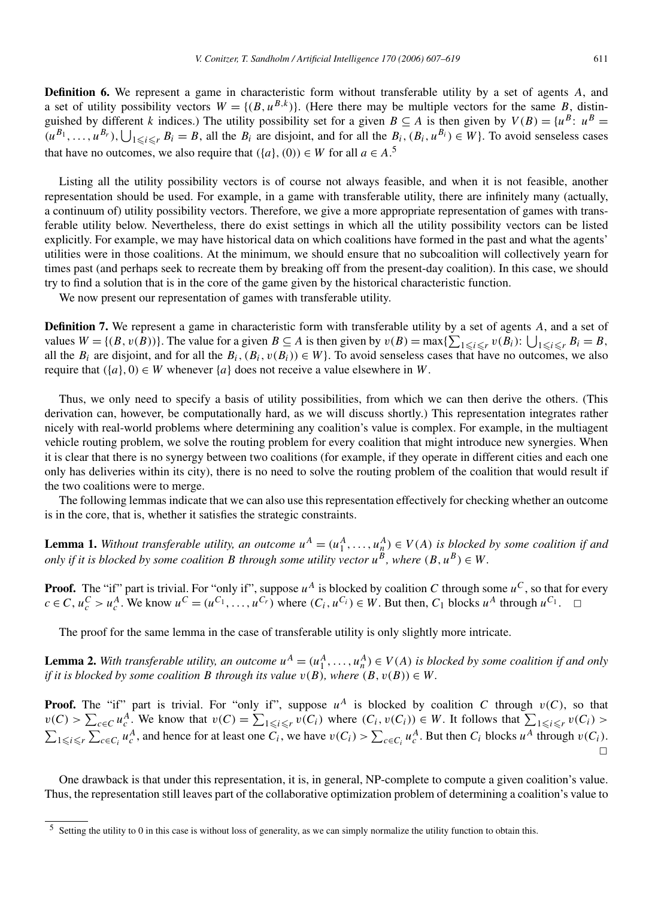**Definition 6.** We represent a game in characteristic form without transferable utility by a set of agents *A*, and a set of utility possibility vectors  $W = \{(B, u^{B,k})\}$ . (Here there may be multiple vectors for the same *B*, distinguished by different *k* indices.) The utility possibility set for a given  $B \subseteq A$  is then given by  $V(B) = \{u^B : u^B =$  $(u^{B_1}, \ldots, u^{B_r})$ ,  $\bigcup_{1 \leq i \leq r} B_i = B$ , all the *B<sub>i</sub>* are disjoint, and for all the *B<sub>i</sub>*,  $(B_i, u^{B_i}) \in W$ }. To avoid senseless cases that have no outcomes, we also require that  $(\lbrace a \rbrace, (0)) \in W$  for all  $a \in A$ .<sup>5</sup>

Listing all the utility possibility vectors is of course not always feasible, and when it is not feasible, another representation should be used. For example, in a game with transferable utility, there are infinitely many (actually, a continuum of) utility possibility vectors. Therefore, we give a more appropriate representation of games with transferable utility below. Nevertheless, there do exist settings in which all the utility possibility vectors can be listed explicitly. For example, we may have historical data on which coalitions have formed in the past and what the agents' utilities were in those coalitions. At the minimum, we should ensure that no subcoalition will collectively yearn for times past (and perhaps seek to recreate them by breaking off from the present-day coalition). In this case, we should try to find a solution that is in the core of the game given by the historical characteristic function.

We now present our representation of games with transferable utility.

**Definition 7.** We represent a game in characteristic form with transferable utility by a set of agents *A*, and a set of values  $W = \{(B, v(B))\}$ . The value for a given  $B \subseteq A$  is then given by  $v(B) = \max\{\sum_{1 \leq i \leq r} v(B_i) : \bigcup_{1 \leq i \leq r} B_i = B,$ all the  $B_i$  are disjoint, and for all the  $B_i$ ,  $(B_i, v(B_i)) \in W$ . To avoid senseless cases that have no outcomes, we also require that  $({a}, 0) \in W$  whenever  ${a}$  does not receive a value elsewhere in *W*.

Thus, we only need to specify a basis of utility possibilities, from which we can then derive the others. (This derivation can, however, be computationally hard, as we will discuss shortly.) This representation integrates rather nicely with real-world problems where determining any coalition's value is complex. For example, in the multiagent vehicle routing problem, we solve the routing problem for every coalition that might introduce new synergies. When it is clear that there is no synergy between two coalitions (for example, if they operate in different cities and each one only has deliveries within its city), there is no need to solve the routing problem of the coalition that would result if the two coalitions were to merge.

The following lemmas indicate that we can also use this representation effectively for checking whether an outcome is in the core, that is, whether it satisfies the strategic constraints.

**Lemma 1.** Without transferable utility, an outcome  $u^A = (u_1^A, \ldots, u_n^A) \in V(A)$  is blocked by some coalition if and *only if it is blocked by some coalition B through some utility vector*  $u^B$ *, where*  $(B, u^B) \in W$ *.* 

**Proof.** The "if" part is trivial. For "only if", suppose  $u^A$  is blocked by coalition *C* through some  $u^C$ , so that for every  $c \in C$ ,  $u_c^C > u_c^A$ . We know  $u^C = (u^{C_1}, \ldots, u^{C_r})$  where  $(C_i, u^{C_i}) \in W$ . But then,  $C_1$  blocks  $u^A$  through  $u^{C_1}$ .  $\Box$ 

The proof for the same lemma in the case of transferable utility is only slightly more intricate.

**Lemma 2.** With transferable utility, an outcome  $u^A = (u_1^A, \ldots, u_n^A) \in V(A)$  is blocked by some coalition if and only *if it is blocked by some coalition B through its value*  $v(B)$ *, where*  $(B, v(B)) \in W$ *.* 

**Proof.** The "if" part is trivial. For "only if", suppose  $u^A$  is blocked by coalition *C* through  $v(C)$ , so that  $v(C)$  >  $\sum_{c \in C} u_c^A$ . We know that  $v(C) = \sum_{1 \leq i \leq r} v(C_i)$  where  $(C_i, v(C_i)) \in W$ . It follows that  $\sum_{1 \leq i \leq r} v(C_i)$  >  $\sum_{1 \le i \le r} \sum_{c \in C_i} u_c^A$ , and hence for at least one  $C_i$ , we have  $v(C_i) > \sum_{c \in C_i} u_c^A$ . But then  $C_i$  blocks  $u^A$  through  $v(C_i)$ . ✷

One drawback is that under this representation, it is, in general, NP-complete to compute a given coalition's value. Thus, the representation still leaves part of the collaborative optimization problem of determining a coalition's value to

<sup>&</sup>lt;sup>5</sup> Setting the utility to 0 in this case is without loss of generality, as we can simply normalize the utility function to obtain this.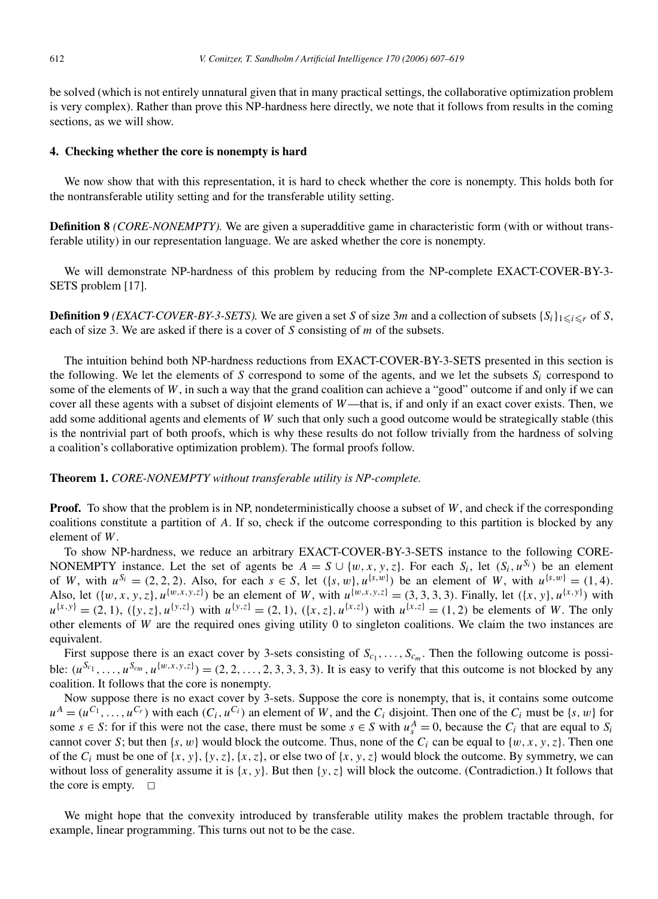be solved (which is not entirely unnatural given that in many practical settings, the collaborative optimization problem is very complex). Rather than prove this NP-hardness here directly, we note that it follows from results in the coming sections, as we will show.

## **4. Checking whether the core is nonempty is hard**

We now show that with this representation, it is hard to check whether the core is nonempty. This holds both for the nontransferable utility setting and for the transferable utility setting.

**Definition 8** *(CORE-NONEMPTY).* We are given a superadditive game in characteristic form (with or without transferable utility) in our representation language. We are asked whether the core is nonempty.

We will demonstrate NP-hardness of this problem by reducing from the NP-complete EXACT-COVER-BY-3-SETS problem [17].

**Definition 9** *(EXACT-COVER-BY-3-SETS).* We are given a set *S* of size 3*m* and a collection of subsets  $\{S_i\}_{1\leq i \leq r}$  of *S*, each of size 3. We are asked if there is a cover of *S* consisting of *m* of the subsets.

The intuition behind both NP-hardness reductions from EXACT-COVER-BY-3-SETS presented in this section is the following. We let the elements of *S* correspond to some of the agents, and we let the subsets *Si* correspond to some of the elements of *W*, in such a way that the grand coalition can achieve a "good" outcome if and only if we can cover all these agents with a subset of disjoint elements of *W*—that is, if and only if an exact cover exists. Then, we add some additional agents and elements of *W* such that only such a good outcome would be strategically stable (this is the nontrivial part of both proofs, which is why these results do not follow trivially from the hardness of solving a coalition's collaborative optimization problem). The formal proofs follow.

**Theorem 1.** *CORE-NONEMPTY without transferable utility is NP-complete.*

**Proof.** To show that the problem is in NP, nondeterministically choose a subset of *W*, and check if the corresponding coalitions constitute a partition of *A*. If so, check if the outcome corresponding to this partition is blocked by any element of *W*.

To show NP-hardness, we reduce an arbitrary EXACT-COVER-BY-3-SETS instance to the following CORE-NONEMPTY instance. Let the set of agents be  $A = S \cup \{w, x, y, z\}$ . For each  $S_i$ , let  $(S_i, u^{S_i})$  be an element of W, with  $u^{S_i} = (2, 2, 2)$ . Also, for each  $s \in S$ , let  $({s, w}, u^{{s, w}})$  be an element of W, with  $u^{{s, w}} = (1, 4)$ . Also, let  $(\{w, x, y, z\}, u^{\{w, x, y, z\}})$  be an element of W, with  $u^{\{w, x, y, z\}} = (3, 3, 3, 3)$ . Finally, let  $(\{x, y\}, u^{\{x, y\}})$  with  $u^{\{x,y\}} = (2,1), (\{y,z\},u^{\{y,z\}})$  with  $u^{\{y,z\}} = (2,1), (\{x,z\},u^{\{x,z\}})$  with  $u^{\{x,z\}} = (1,2)$  be elements of W. The only other elements of *W* are the required ones giving utility 0 to singleton coalitions. We claim the two instances are equivalent.

First suppose there is an exact cover by 3-sets consisting of  $S_{c_1}, \ldots, S_{c_m}$ . Then the following outcome is possible:  $(u^{S_{c_1}},...,u^{S_{c_m}},u^{\{w,x,y,z\}}) = (2,2,...,2,3,3,3,3)$ . It is easy to verify that this outcome is not blocked by any coalition. It follows that the core is nonempty.

Now suppose there is no exact cover by 3-sets. Suppose the core is nonempty, that is, it contains some outcome  $u^A = (u^{C_1}, \ldots, u^{C_r})$  with each  $(C_i, u^{C_i})$  an element of *W*, and the  $C_i$  disjoint. Then one of the  $C_i$  must be  $\{s, w\}$  for some  $s \in S$ : for if this were not the case, there must be some  $s \in S$  with  $u_s^A = 0$ , because the  $C_i$  that are equal to  $S_i$ cannot cover *S*; but then {*s, w*} would block the outcome. Thus, none of the  $C_i$  can be equal to {*w, x, y, z*}. Then one of the  $C_i$  must be one of  $\{x, y\}$ ,  $\{y, z\}$ ,  $\{x, z\}$ , or else two of  $\{x, y, z\}$  would block the outcome. By symmetry, we can without loss of generality assume it is  $\{x, y\}$ . But then  $\{y, z\}$  will block the outcome. (Contradiction.) It follows that the core is empty.  $\square$ 

We might hope that the convexity introduced by transferable utility makes the problem tractable through, for example, linear programming. This turns out not to be the case.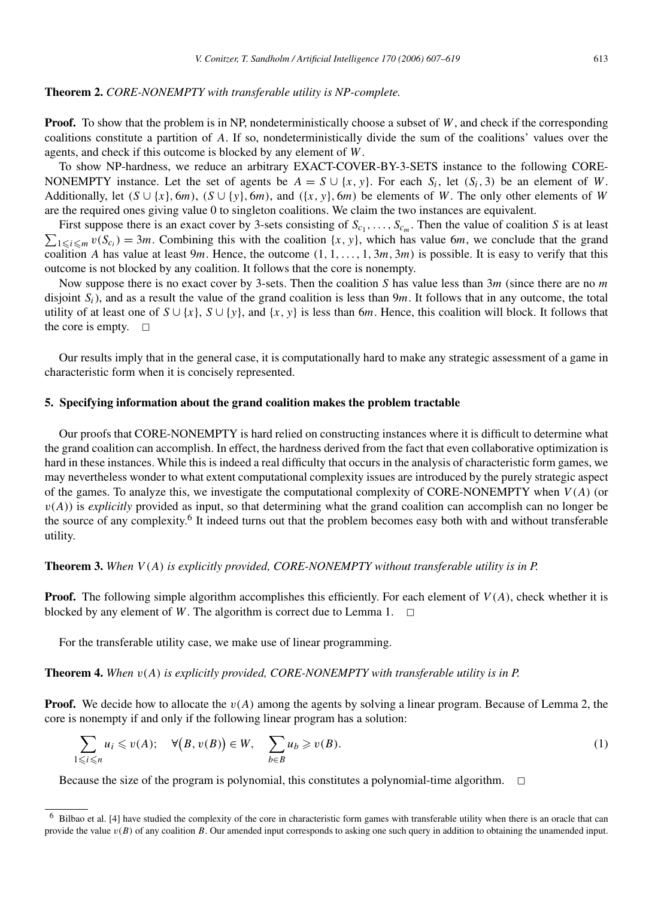## **Theorem 2.** *CORE-NONEMPTY with transferable utility is NP-complete.*

**Proof.** To show that the problem is in NP, nondeterministically choose a subset of *W*, and check if the corresponding coalitions constitute a partition of *A*. If so, nondeterministically divide the sum of the coalitions' values over the agents, and check if this outcome is blocked by any element of *W*.

To show NP-hardness, we reduce an arbitrary EXACT-COVER-BY-3-SETS instance to the following CORE-NONEMPTY instance. Let the set of agents be  $A = S \cup \{x, y\}$ . For each  $S_i$ , let  $(S_i, 3)$  be an element of *W*. Additionally, let  $(S \cup \{x\}, 6m)$ ,  $(S \cup \{y\}, 6m)$ , and  $(\{x, y\}, 6m)$  be elements of *W*. The only other elements of *W* are the required ones giving value 0 to singleton coalitions. We claim the two instances are equivalent.

First suppose there is an exact cover by 3-sets consisting of  $S_{c_1}, \ldots, S_{c_m}$ . Then the value of coalition *S* is at least  $\sum_{1 \leq i \leq m} v(S_{c_i}) = 3m$ . Combining this with the coalition  $\{x, y\}$ , which has value 6*m*, we conclude that the grand coalition *A* has value at least 9*m*. Hence, the outcome  $(1, 1, \ldots, 1, 3m, 3m)$  is possible. It is easy to verify that this outcome is not blocked by any coalition. It follows that the core is nonempty.

Now suppose there is no exact cover by 3-sets. Then the coalition *S* has value less than 3*m* (since there are no *m* disjoint *Si*), and as a result the value of the grand coalition is less than 9*m*. It follows that in any outcome, the total utility of at least one of  $S \cup \{x\}$ ,  $S \cup \{y\}$ , and  $\{x, y\}$  is less than 6*m*. Hence, this coalition will block. It follows that the core is empty.  $\square$ 

Our results imply that in the general case, it is computationally hard to make any strategic assessment of a game in characteristic form when it is concisely represented.

## **5. Specifying information about the grand coalition makes the problem tractable**

Our proofs that CORE-NONEMPTY is hard relied on constructing instances where it is difficult to determine what the grand coalition can accomplish. In effect, the hardness derived from the fact that even collaborative optimization is hard in these instances. While this is indeed a real difficulty that occurs in the analysis of characteristic form games, we may nevertheless wonder to what extent computational complexity issues are introduced by the purely strategic aspect of the games. To analyze this, we investigate the computational complexity of CORE-NONEMPTY when *V (A)* (or *v(A)*) is *explicitly* provided as input, so that determining what the grand coalition can accomplish can no longer be the source of any complexity.<sup>6</sup> It indeed turns out that the problem becomes easy both with and without transferable utility.

# **Theorem 3.** *When V (A) is explicitly provided, CORE-NONEMPTY without transferable utility is in P.*

**Proof.** The following simple algorithm accomplishes this efficiently. For each element of  $V(A)$ , check whether it is blocked by any element of *W*. The algorithm is correct due to Lemma 1.  $\Box$ 

For the transferable utility case, we make use of linear programming.

## **Theorem 4.** *When v(A) is explicitly provided, CORE-NONEMPTY with transferable utility is in P.*

**Proof.** We decide how to allocate the  $v(A)$  among the agents by solving a linear program. Because of Lemma 2, the core is nonempty if and only if the following linear program has a solution:

$$
\sum_{1 \leq i \leq n} u_i \leq v(A); \quad \forall (B, v(B)) \in W, \quad \sum_{b \in B} u_b \geq v(B).
$$
 (1)

Because the size of the program is polynomial, this constitutes a polynomial-time algorithm.  $\Box$ 

 $<sup>6</sup>$  Bilbao et al. [4] have studied the complexity of the core in characteristic form games with transferable utility when there is an oracle that can</sup> provide the value  $v(B)$  of any coalition *B*. Our amended input corresponds to asking one such query in addition to obtaining the unamended input.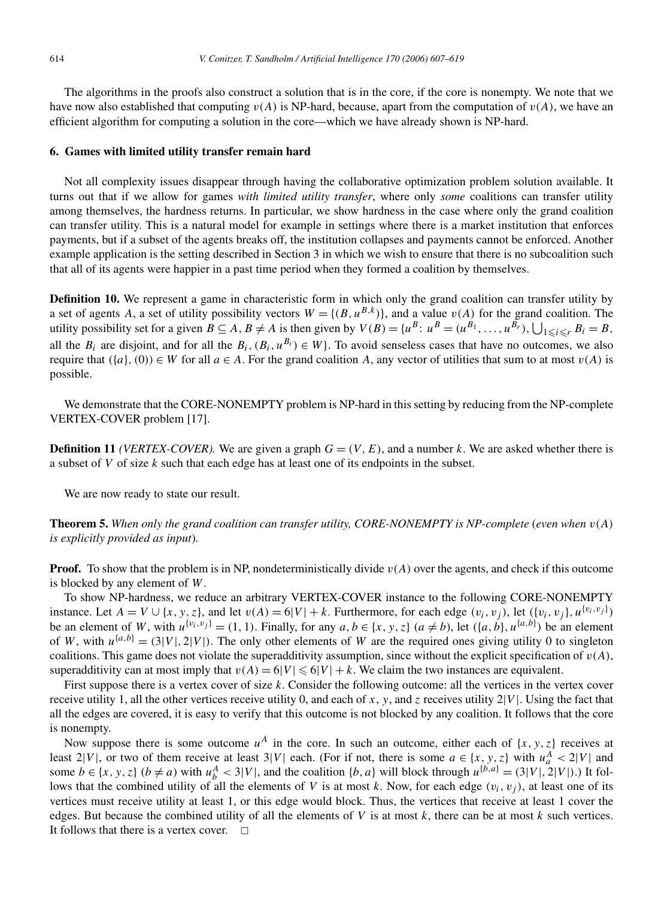The algorithms in the proofs also construct a solution that is in the core, if the core is nonempty. We note that we have now also established that computing  $v(A)$  is NP-hard, because, apart from the computation of  $v(A)$ , we have an efficient algorithm for computing a solution in the core—which we have already shown is NP-hard.

## **6. Games with limited utility transfer remain hard**

Not all complexity issues disappear through having the collaborative optimization problem solution available. It turns out that if we allow for games *with limited utility transfer*, where only *some* coalitions can transfer utility among themselves, the hardness returns. In particular, we show hardness in the case where only the grand coalition can transfer utility. This is a natural model for example in settings where there is a market institution that enforces payments, but if a subset of the agents breaks off, the institution collapses and payments cannot be enforced. Another example application is the setting described in Section 3 in which we wish to ensure that there is no subcoalition such that all of its agents were happier in a past time period when they formed a coalition by themselves.

**Definition 10.** We represent a game in characteristic form in which only the grand coalition can transfer utility by a set of agents A, a set of utility possibility vectors  $W = \{(B, u^{B,k})\}$ , and a value  $v(A)$  for the grand coalition. The utility possibility set for a given  $B \subseteq A$ ,  $B \neq A$  is then given by  $V(B) = \{u^B: u^B = (u^{B_1}, \ldots, u^{B_r}), \bigcup_{1 \leq i \leq r} B_i = B,$ all the  $B_i$  are disjoint, and for all the  $B_i$ ,  $(B_i, u^{B_i}) \in W$ . To avoid senseless cases that have no outcomes, we also require that  $(\{a\}, (0)) \in W$  for all  $a \in A$ . For the grand coalition *A*, any vector of utilities that sum to at most  $v(A)$  is possible.

We demonstrate that the CORE-NONEMPTY problem is NP-hard in this setting by reducing from the NP-complete VERTEX-COVER problem [17].

**Definition 11** *(VERTEX-COVER)*. We are given a graph  $G = (V, E)$ , and a number *k*. We are asked whether there is a subset of *V* of size *k* such that each edge has at least one of its endpoints in the subset.

We are now ready to state our result.

**Theorem 5.** *When only the grand coalition can transfer utility, CORE-NONEMPTY is NP-complete* (*even when v(A) is explicitly provided as input*)*.*

**Proof.** To show that the problem is in NP, nondeterministically divide  $v(A)$  over the agents, and check if this outcome is blocked by any element of *W*.

To show NP-hardness, we reduce an arbitrary VERTEX-COVER instance to the following CORE-NONEMPTY instance. Let  $A = V \cup \{x, y, z\}$ , and let  $v(A) = 6|V| + k$ . Furthermore, for each edge  $(v_i, v_j)$ , let  $(\{v_i, v_j\}, u^{\{v_i, v_j\}})$ be an element of *W*, with  $u^{\{v_i, v_j\}} = (1, 1)$ . Finally, for any  $a, b \in \{x, y, z\}$   $(a \neq b)$ , let  $(\{a, b\}, u^{\{a, b\}})$  be an element of *W*, with  $u^{\{a,b\}} = (3|V|, 2|V|)$ . The only other elements of *W* are the required ones giving utility 0 to singleton coalitions. This game does not violate the superadditivity assumption, since without the explicit specification of  $v(A)$ , superadditivity can at most imply that  $v(A) = 6|V| \le 6|V| + k$ . We claim the two instances are equivalent.

First suppose there is a vertex cover of size *k*. Consider the following outcome: all the vertices in the vertex cover receive utility 1, all the other vertices receive utility 0, and each of *x*, *y*, and *z* receives utility 2|*V* |. Using the fact that all the edges are covered, it is easy to verify that this outcome is not blocked by any coalition. It follows that the core is nonempty.

Now suppose there is some outcome  $u^A$  in the core. In such an outcome, either each of  $\{x, y, z\}$  receives at least 2|*V*|, or two of them receive at least 3|*V*| each. (For if not, there is some  $a \in \{x, y, z\}$  with  $u_a^A < 2|V|$  and some  $b \in \{x, y, z\}$   $(b \neq a)$  with  $u_b^A < 3|V|$ , and the coalition  $\{b, a\}$  will block through  $u^{\{b,a\}} = (3|V|, 2|V|)$ .) It follows that the combined utility of all the elements of *V* is at most *k*. Now, for each edge  $(v_i, v_j)$ , at least one of its vertices must receive utility at least 1, or this edge would block. Thus, the vertices that receive at least 1 cover the edges. But because the combined utility of all the elements of  $V$  is at most  $k$ , there can be at most  $k$  such vertices. It follows that there is a vertex cover.  $\Box$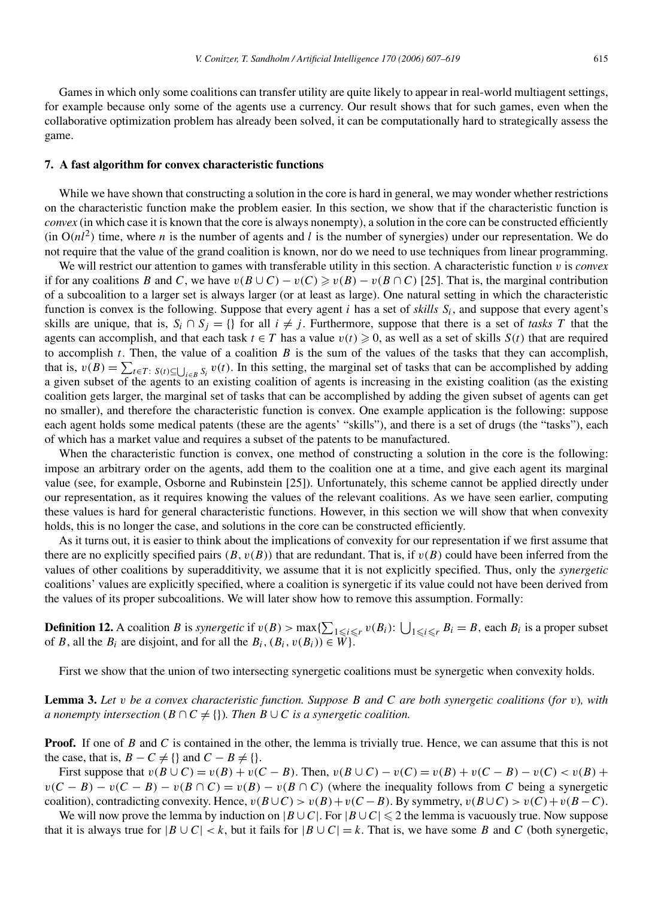Games in which only some coalitions can transfer utility are quite likely to appear in real-world multiagent settings, for example because only some of the agents use a currency. Our result shows that for such games, even when the collaborative optimization problem has already been solved, it can be computationally hard to strategically assess the game.

#### **7. A fast algorithm for convex characteristic functions**

While we have shown that constructing a solution in the core is hard in general, we may wonder whether restrictions on the characteristic function make the problem easier. In this section, we show that if the characteristic function is *convex* (in which case it is known that the core is always nonempty), a solution in the core can be constructed efficiently (in  $O(nl^2)$  time, where *n* is the number of agents and *l* is the number of synergies) under our representation. We do not require that the value of the grand coalition is known, nor do we need to use techniques from linear programming.

We will restrict our attention to games with transferable utility in this section. A characteristic function *v* is *convex* if for any coalitions *B* and *C*, we have  $v(B \cup C) - v(C) \ge v(B) - v(B \cap C)$  [25]. That is, the marginal contribution of a subcoalition to a larger set is always larger (or at least as large). One natural setting in which the characteristic function is convex is the following. Suppose that every agent  $i$  has a set of *skills*  $S_i$ , and suppose that every agent's skills are unique, that is,  $S_i \cap S_j = \{\}$  for all  $i \neq j$ . Furthermore, suppose that there is a set of *tasks T* that the agents can accomplish, and that each task  $t \in T$  has a value  $v(t) \geq 0$ , as well as a set of skills  $S(t)$  that are required to accomplish *t*. Then, the value of a coalition *B* is the sum of the values of the tasks that they can accomplish, that is,  $v(B) = \sum_{t \in T: S(t) \subseteq \bigcup_{i \in B} S_i} v(t)$ . In this setting, the marginal set of tasks that can be accomplished by adding a given subset of the agents to an existing coalition of agents is increasing in the existing coalition (as the existing coalition gets larger, the marginal set of tasks that can be accomplished by adding the given subset of agents can get no smaller), and therefore the characteristic function is convex. One example application is the following: suppose each agent holds some medical patents (these are the agents' "skills"), and there is a set of drugs (the "tasks"), each of which has a market value and requires a subset of the patents to be manufactured.

When the characteristic function is convex, one method of constructing a solution in the core is the following: impose an arbitrary order on the agents, add them to the coalition one at a time, and give each agent its marginal value (see, for example, Osborne and Rubinstein [25]). Unfortunately, this scheme cannot be applied directly under our representation, as it requires knowing the values of the relevant coalitions. As we have seen earlier, computing these values is hard for general characteristic functions. However, in this section we will show that when convexity holds, this is no longer the case, and solutions in the core can be constructed efficiently.

As it turns out, it is easier to think about the implications of convexity for our representation if we first assume that there are no explicitly specified pairs  $(B, v(B))$  that are redundant. That is, if  $v(B)$  could have been inferred from the values of other coalitions by superadditivity, we assume that it is not explicitly specified. Thus, only the *synergetic* coalitions' values are explicitly specified, where a coalition is synergetic if its value could not have been derived from the values of its proper subcoalitions. We will later show how to remove this assumption. Formally:

**Definition 12.** A coalition *B* is *synergetic* if  $v(B) > \max\{\sum_{1 \leq i \leq r} v(B_i): \bigcup_{1 \leq i \leq r} B_i = B$ , each  $B_i$  is a proper subset of *B*, all the  $B_i$  are disjoint, and for all the  $B_i$ ,  $(B_i, v(B_i)) \in W$ .

First we show that the union of two intersecting synergetic coalitions must be synergetic when convexity holds.

**Lemma 3.** *Let v be a convex characteristic function. Suppose B and C are both synergetic coalitions* (*for v*)*, with a nonempty intersection* ( $B \cap C \neq \{\}$ ). Then  $B \cup C$  *is a synergetic coalition.* 

**Proof.** If one of *B* and *C* is contained in the other, the lemma is trivially true. Hence, we can assume that this is not the case, that is,  $B - C \neq \{\}$  and  $C - B \neq \{\}.$ 

First suppose that  $v(B \cup C) = v(B) + v(C - B)$ . Then,  $v(B \cup C) - v(C) = v(B) + v(C - B) - v(C) < v(B) + v(C - B)$ .  $v(C - B) - v(C - B) - v(B \cap C) = v(B) - v(B \cap C)$  (where the inequality follows from *C* being a synergetic coalition), contradicting convexity. Hence,  $v(B \cup C) > v(B) + v(C - B)$ . By symmetry,  $v(B \cup C) > v(C) + v(B - C)$ .

We will now prove the lemma by induction on  $|B \cup C|$ . For  $|B \cup C| \leq 2$  the lemma is vacuously true. Now suppose that it is always true for  $|B \cup C| < k$ , but it fails for  $|B \cup C| = k$ . That is, we have some *B* and *C* (both synergetic,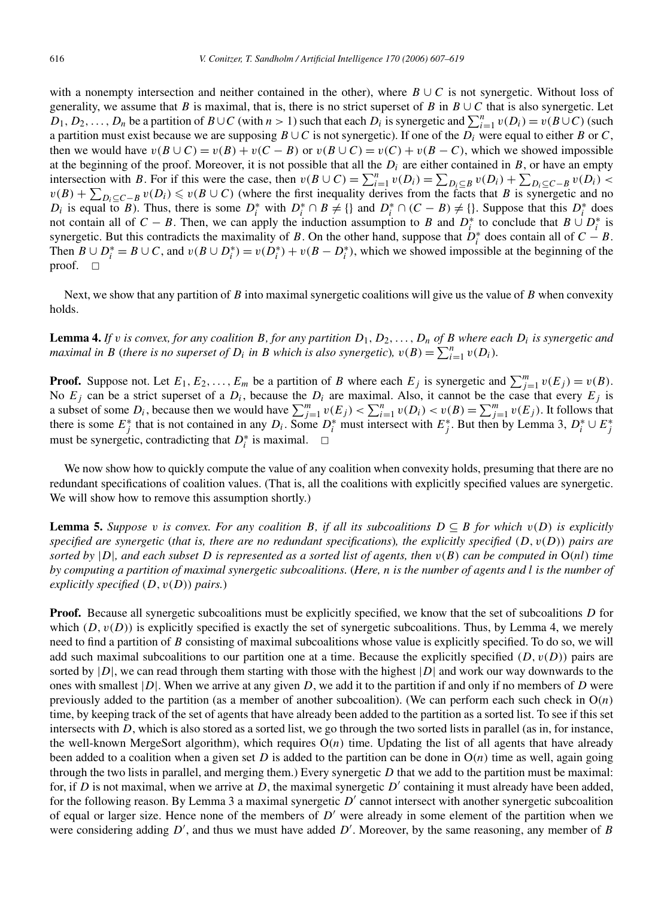with a nonempty intersection and neither contained in the other), where  $B \cup C$  is not synergetic. Without loss of generality, we assume that *B* is maximal, that is, there is no strict superset of *B* in  $B \cup C$  that is also synergetic. Let  $D_1, D_2, \ldots, D_n$  be a partition of  $B \cup C$  (with  $n > 1$ ) such that each  $D_i$  is synergetic and  $\sum_{i=1}^n v(D_i) = v(B \cup C)$  (such a partition must exist because we are supposing  $B \cup C$  is not synergetic). If one of the  $D_i$  were equal to either *B* or *C*, then we would have  $v(B \cup C) = v(B) + v(C - B)$  or  $v(B \cup C) = v(C) + v(B - C)$ , which we showed impossible at the beginning of the proof. Moreover, it is not possible that all the *Di* are either contained in *B*, or have an empty intersection with *B*. For if this were the case, then  $v(B \cup C) = \sum_{i=1}^{n} v(D_i) = \sum_{D_i \subseteq B} v(D_i) + \sum_{D_i \subseteq C - B} v(D_i) <$  $v(B) + \sum_{D_i \subseteq C - B} v(D_i) \leq v(B \cup C)$  (where the first inequality derives from the facts that *B* is synergetic and no *D<sub>i</sub>* is equal to *B*). Thus, there is some  $D_i^*$  with  $D_i^* \cap B \neq \{\}$  and  $D_i^* \cap (C - B) \neq \{\}$ . Suppose that this  $D_i^*$  does not contain all of  $C - B$ . Then, we can apply the induction assumption to *B* and  $D_i^*$  to conclude that  $B \cup D_i^*$  is synergetic. But this contradicts the maximality of *B*. On the other hand, suppose that  $D_i^*$  does contain all of  $C - B$ . Then  $B \cup D_i^* = B \cup C$ , and  $v(B \cup D_i^*) = v(D_i^*) + v(B - D_i^*)$ , which we showed impossible at the beginning of the proof.  $\Box$ 

Next, we show that any partition of *B* into maximal synergetic coalitions will give us the value of *B* when convexity holds.

**Lemma 4.** If *v* is convex, for any coalition B, for any partition  $D_1, D_2, \ldots, D_n$  of B where each  $D_i$  is synergetic and *maximal in B* (*there is no superset of*  $D_i$  *in B which is also synergetic*),  $v(B) = \sum_{i=1}^n v(D_i)$ *.* 

**Proof.** Suppose not. Let  $E_1, E_2, \ldots, E_m$  be a partition of *B* where each  $E_j$  is synergetic and  $\sum_{j=1}^m v(E_j) = v(B)$ . No  $E_j$  can be a strict superset of a  $D_i$ , because the  $D_i$  are maximal. Also, it cannot be the case that every  $E_j$  is a subset of some  $D_i$ , because then we would have  $\sum_{j=1}^m v(E_j) < \sum_{i=1}^n v(D_i) < v(B) = \sum_{j=1}^m v(E_j)$ . It follows that there is some  $E_j^*$  that is not contained in any  $D_i$ . Some  $D_i^*$  must intersect with  $E_j^*$ . But then by Lemma 3,  $D_i^* \cup E_j^*$ must be synergetic, contradicting that  $D_i^*$  is maximal.  $\Box$ 

We now show how to quickly compute the value of any coalition when convexity holds, presuming that there are no redundant specifications of coalition values. (That is, all the coalitions with explicitly specified values are synergetic. We will show how to remove this assumption shortly.)

**Lemma 5.** Suppose *v* is convex. For any coalition B, if all its subcoalitions  $D \subseteq B$  for which  $v(D)$  is explicitly *specified are synergetic* (*that is, there are no redundant specifications*)*, the explicitly specified (D, v(D)) pairs are sorted by*  $|D|$ *, and each subset D is represented as a sorted list of agents, then*  $v(B)$  *can be computed in*  $O(nl)$  *time by computing a partition of maximal synergetic subcoalitions.* (*Here, n is the number of agents and l is the number of explicitly specified (D, v(D)) pairs.*)

**Proof.** Because all synergetic subcoalitions must be explicitly specified, we know that the set of subcoalitions *D* for which  $(D, v(D))$  is explicitly specified is exactly the set of synergetic subcoalitions. Thus, by Lemma 4, we merely need to find a partition of *B* consisting of maximal subcoalitions whose value is explicitly specified. To do so, we will add such maximal subcoalitions to our partition one at a time. Because the explicitly specified  $(D, v(D))$  pairs are sorted by  $|D|$ , we can read through them starting with those with the highest  $|D|$  and work our way downwards to the ones with smallest |*D*|. When we arrive at any given *D*, we add it to the partition if and only if no members of *D* were previously added to the partition (as a member of another subcoalition). (We can perform each such check in O*(n)* time, by keeping track of the set of agents that have already been added to the partition as a sorted list. To see if this set intersects with *D*, which is also stored as a sorted list, we go through the two sorted lists in parallel (as in, for instance, the well-known MergeSort algorithm), which requires  $O(n)$  time. Updating the list of all agents that have already been added to a coalition when a given set *D* is added to the partition can be done in  $O(n)$  time as well, again going through the two lists in parallel, and merging them.) Every synergetic *D* that we add to the partition must be maximal: for, if *D* is not maximal, when we arrive at *D*, the maximal synergetic  $D'$  containing it must already have been added, for the following reason. By Lemma 3 a maximal synergetic *D'* cannot intersect with another synergetic subcoalition of equal or larger size. Hence none of the members of  $D'$  were already in some element of the partition when we were considering adding *D'*, and thus we must have added *D'*. Moreover, by the same reasoning, any member of *B*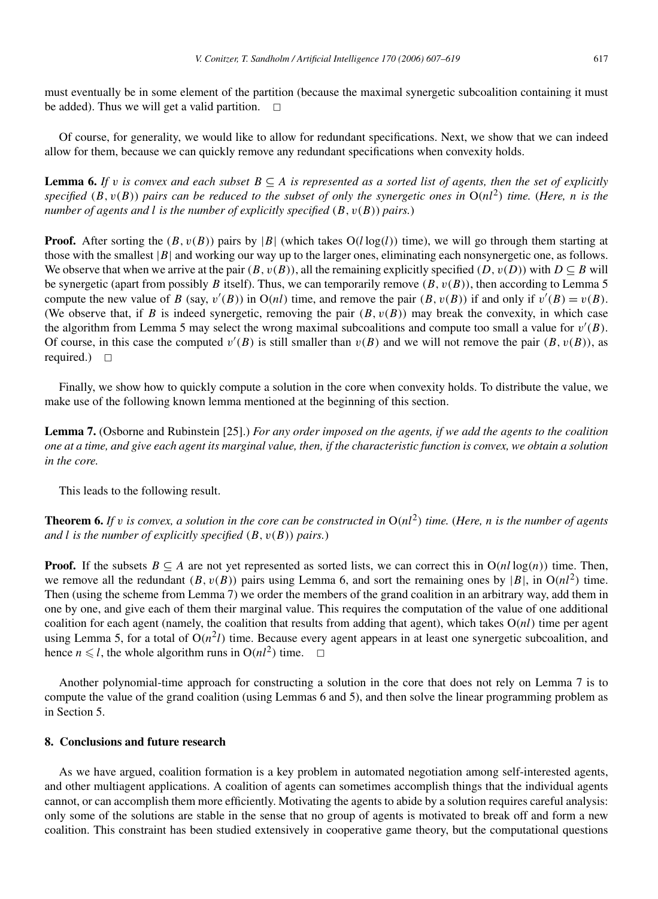must eventually be in some element of the partition (because the maximal synergetic subcoalition containing it must be added). Thus we will get a valid partition.  $\Box$ 

Of course, for generality, we would like to allow for redundant specifications. Next, we show that we can indeed allow for them, because we can quickly remove any redundant specifications when convexity holds.

**Lemma 6.** If v is convex and each subset  $B \subseteq A$  is represented as a sorted list of agents, then the set of explicitly specified  $(B, v(B))$  pairs can be reduced to the subset of only the synergetic ones in  $O(nl^2)$  time. (Here, *n* is the *number of agents and l is the number of explicitly specified* (*B, v(B)*) *pairs.*)

**Proof.** After sorting the  $(B, v(B))$  pairs by  $|B|$  (which takes  $O(l \log(l))$  time), we will go through them starting at those with the smallest |*B*| and working our way up to the larger ones, eliminating each nonsynergetic one, as follows. We observe that when we arrive at the pair  $(B, v(B))$ , all the remaining explicitly specified  $(D, v(D))$  with  $D \subseteq B$  will be synergetic (apart from possibly *B* itself). Thus, we can temporarily remove  $(B, v(B))$ , then according to Lemma 5 compute the new value of *B* (say,  $v'(B)$ ) in O(*nl*) time, and remove the pair  $(B, v(B))$  if and only if  $v'(B) = v(B)$ . (We observe that, if *B* is indeed synergetic, removing the pair  $(B, v(B))$  may break the convexity, in which case the algorithm from Lemma 5 may select the wrong maximal subcoalitions and compute too small a value for  $v'(B)$ . Of course, in this case the computed  $v'(B)$  is still smaller than  $v(B)$  and we will not remove the pair  $(B, v(B))$ , as required.)  $\Box$ 

Finally, we show how to quickly compute a solution in the core when convexity holds. To distribute the value, we make use of the following known lemma mentioned at the beginning of this section.

**Lemma 7.** (Osborne and Rubinstein [25].) *For any order imposed on the agents, if we add the agents to the coalition one at a time, and give each agent its marginal value, then, if the characteristic function is convex, we obtain a solution in the core.*

This leads to the following result.

**Theorem 6.** If v is convex, a solution in the core can be constructed in  $O(n^2)$  time. (Here, n is the number of agents *and l is the number of explicitly specified (B, v(B)) pairs.*)

**Proof.** If the subsets  $B \subseteq A$  are not yet represented as sorted lists, we can correct this in  $O(n \log(n))$  time. Then, we remove all the redundant  $(B, v(B))$  pairs using Lemma 6, and sort the remaining ones by  $|B|$ , in  $O(nl^2)$  time. Then (using the scheme from Lemma 7) we order the members of the grand coalition in an arbitrary way, add them in one by one, and give each of them their marginal value. This requires the computation of the value of one additional coalition for each agent (namely, the coalition that results from adding that agent), which takes O*(nl)* time per agent using Lemma 5, for a total of  $O(n^2l)$  time. Because every agent appears in at least one synergetic subcoalition, and hence  $n \le l$ , the whole algorithm runs in  $O(nl^2)$  time.  $\Box$ 

Another polynomial-time approach for constructing a solution in the core that does not rely on Lemma 7 is to compute the value of the grand coalition (using Lemmas 6 and 5), and then solve the linear programming problem as in Section 5.

# **8. Conclusions and future research**

As we have argued, coalition formation is a key problem in automated negotiation among self-interested agents, and other multiagent applications. A coalition of agents can sometimes accomplish things that the individual agents cannot, or can accomplish them more efficiently. Motivating the agents to abide by a solution requires careful analysis: only some of the solutions are stable in the sense that no group of agents is motivated to break off and form a new coalition. This constraint has been studied extensively in cooperative game theory, but the computational questions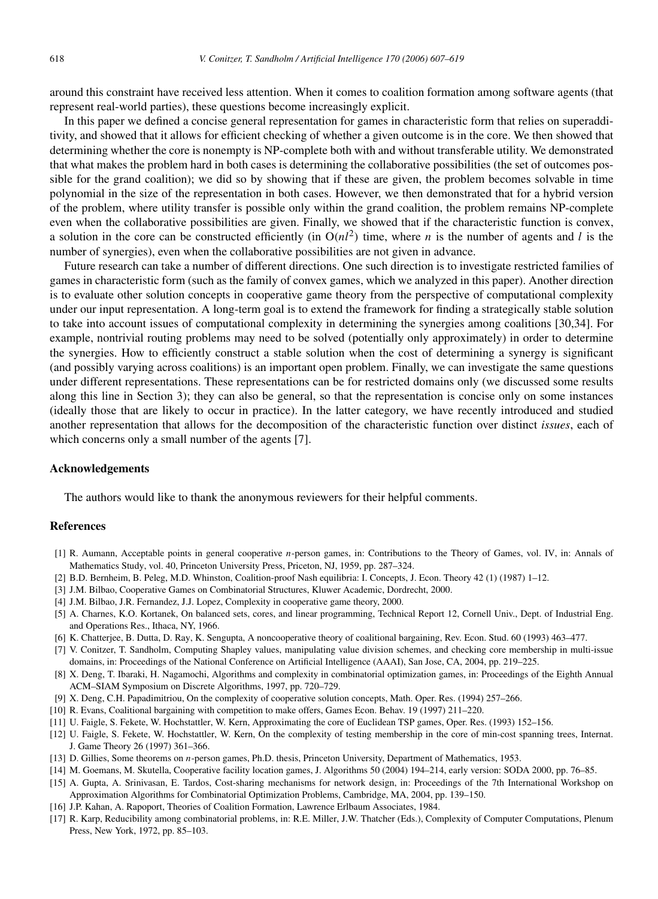around this constraint have received less attention. When it comes to coalition formation among software agents (that represent real-world parties), these questions become increasingly explicit.

In this paper we defined a concise general representation for games in characteristic form that relies on superadditivity, and showed that it allows for efficient checking of whether a given outcome is in the core. We then showed that determining whether the core is nonempty is NP-complete both with and without transferable utility. We demonstrated that what makes the problem hard in both cases is determining the collaborative possibilities (the set of outcomes possible for the grand coalition); we did so by showing that if these are given, the problem becomes solvable in time polynomial in the size of the representation in both cases. However, we then demonstrated that for a hybrid version of the problem, where utility transfer is possible only within the grand coalition, the problem remains NP-complete even when the collaborative possibilities are given. Finally, we showed that if the characteristic function is convex, a solution in the core can be constructed efficiently (in  $O(nl^2)$  time, where *n* is the number of agents and *l* is the number of synergies), even when the collaborative possibilities are not given in advance.

Future research can take a number of different directions. One such direction is to investigate restricted families of games in characteristic form (such as the family of convex games, which we analyzed in this paper). Another direction is to evaluate other solution concepts in cooperative game theory from the perspective of computational complexity under our input representation. A long-term goal is to extend the framework for finding a strategically stable solution to take into account issues of computational complexity in determining the synergies among coalitions [30,34]. For example, nontrivial routing problems may need to be solved (potentially only approximately) in order to determine the synergies. How to efficiently construct a stable solution when the cost of determining a synergy is significant (and possibly varying across coalitions) is an important open problem. Finally, we can investigate the same questions under different representations. These representations can be for restricted domains only (we discussed some results along this line in Section 3); they can also be general, so that the representation is concise only on some instances (ideally those that are likely to occur in practice). In the latter category, we have recently introduced and studied another representation that allows for the decomposition of the characteristic function over distinct *issues*, each of which concerns only a small number of the agents [7].

#### **Acknowledgements**

The authors would like to thank the anonymous reviewers for their helpful comments.

## **References**

- [1] R. Aumann, Acceptable points in general cooperative *n*-person games, in: Contributions to the Theory of Games, vol. IV, in: Annals of Mathematics Study, vol. 40, Princeton University Press, Priceton, NJ, 1959, pp. 287–324.
- [2] B.D. Bernheim, B. Peleg, M.D. Whinston, Coalition-proof Nash equilibria: I. Concepts, J. Econ. Theory 42 (1) (1987) 1–12.
- [3] J.M. Bilbao, Cooperative Games on Combinatorial Structures, Kluwer Academic, Dordrecht, 2000.
- [4] J.M. Bilbao, J.R. Fernandez, J.J. Lopez, Complexity in cooperative game theory, 2000.
- [5] A. Charnes, K.O. Kortanek, On balanced sets, cores, and linear programming, Technical Report 12, Cornell Univ., Dept. of Industrial Eng. and Operations Res., Ithaca, NY, 1966.
- [6] K. Chatterjee, B. Dutta, D. Ray, K. Sengupta, A noncooperative theory of coalitional bargaining, Rev. Econ. Stud. 60 (1993) 463–477.
- [7] V. Conitzer, T. Sandholm, Computing Shapley values, manipulating value division schemes, and checking core membership in multi-issue domains, in: Proceedings of the National Conference on Artificial Intelligence (AAAI), San Jose, CA, 2004, pp. 219–225.
- [8] X. Deng, T. Ibaraki, H. Nagamochi, Algorithms and complexity in combinatorial optimization games, in: Proceedings of the Eighth Annual ACM–SIAM Symposium on Discrete Algorithms, 1997, pp. 720–729.
- [9] X. Deng, C.H. Papadimitriou, On the complexity of cooperative solution concepts, Math. Oper. Res. (1994) 257–266.
- [10] R. Evans, Coalitional bargaining with competition to make offers, Games Econ. Behav. 19 (1997) 211–220.
- [11] U. Faigle, S. Fekete, W. Hochstattler, W. Kern, Approximating the core of Euclidean TSP games, Oper. Res. (1993) 152–156.
- [12] U. Faigle, S. Fekete, W. Hochstattler, W. Kern, On the complexity of testing membership in the core of min-cost spanning trees, Internat. J. Game Theory 26 (1997) 361–366.
- [13] D. Gillies, Some theorems on *n*-person games, Ph.D. thesis, Princeton University, Department of Mathematics, 1953.
- [14] M. Goemans, M. Skutella, Cooperative facility location games, J. Algorithms 50 (2004) 194–214, early version: SODA 2000, pp. 76–85.
- [15] A. Gupta, A. Srinivasan, E. Tardos, Cost-sharing mechanisms for network design, in: Proceedings of the 7th International Workshop on Approximation Algorithms for Combinatorial Optimization Problems, Cambridge, MA, 2004, pp. 139–150.
- [16] J.P. Kahan, A. Rapoport, Theories of Coalition Formation, Lawrence Erlbaum Associates, 1984.
- [17] R. Karp, Reducibility among combinatorial problems, in: R.E. Miller, J.W. Thatcher (Eds.), Complexity of Computer Computations, Plenum Press, New York, 1972, pp. 85–103.